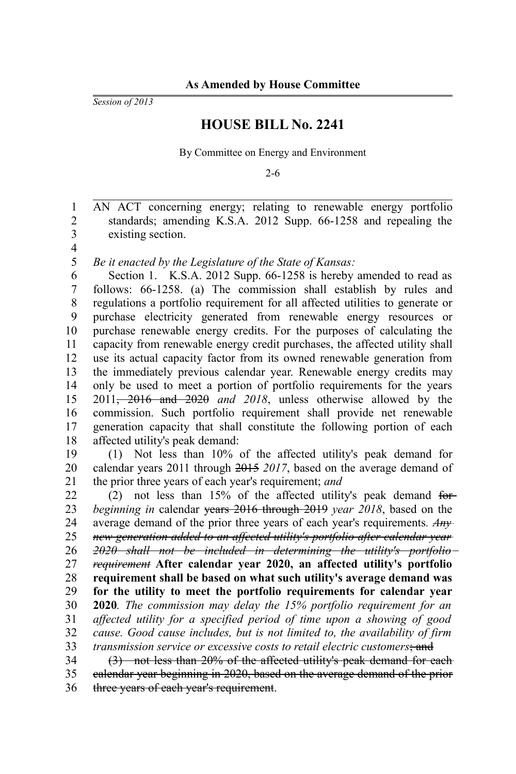*Session of 2013*

## **HOUSE BILL No. 2241**

By Committee on Energy and Environment

2-6

AN ACT concerning energy; relating to renewable energy portfolio standards; amending K.S.A. 2012 Supp. 66-1258 and repealing the existing section. 1 2 3

4

*Be it enacted by the Legislature of the State of Kansas:* 5

Section 1. K.S.A. 2012 Supp. 66-1258 is hereby amended to read as follows: 66-1258. (a) The commission shall establish by rules and regulations a portfolio requirement for all affected utilities to generate or purchase electricity generated from renewable energy resources or purchase renewable energy credits. For the purposes of calculating the capacity from renewable energy credit purchases, the affected utility shall use its actual capacity factor from its owned renewable generation from the immediately previous calendar year. Renewable energy credits may only be used to meet a portion of portfolio requirements for the years 2011, 2016 and 2020 *and 2018*, unless otherwise allowed by the commission. Such portfolio requirement shall provide net renewable generation capacity that shall constitute the following portion of each affected utility's peak demand: 6 7 8 9 10 11 12 13 14 15 16 17 18

(1) Not less than 10% of the affected utility's peak demand for calendar years 2011 through 2015 *2017*, based on the average demand of the prior three years of each year's requirement; *and* 19 20 21

(2) not less than 15% of the affected utility's peak demand for *beginning in* calendar years 2016 through 2019 *year 2018*, based on the average demand of the prior three years of each year's requirements*. Any new generation added to an affected utility's portfolio after calendar year 2020 shall not be included in determining the utility's portfolio requirement* **After calendar year 2020, an affected utility's portfolio requirement shall be based on what such utility's average demand was for the utility to meet the portfolio requirements for calendar year 2020***. The commission may delay the 15% portfolio requirement for an affected utility for a specified period of time upon a showing of good cause. Good cause includes, but is not limited to, the availability of firm transmission service or excessive costs to retail electric customers*; and (3) not less than 20% of the affected utility's peak demand for each calendar year beginning in 2020, based on the average demand of the prior 22 23 24 25 26 27 28 29 30 31 32 33 34 35

three years of each year's requirement. 36